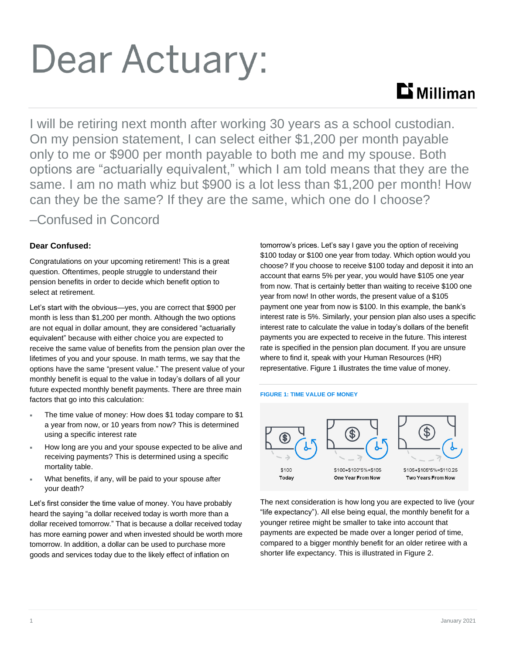# Dear Actuary:

# **Li** Milliman

I will be retiring next month after working 30 years as a school custodian. On my pension statement, I can select either \$1,200 per month payable only to me or \$900 per month payable to both me and my spouse. Both options are "actuarially equivalent," which I am told means that they are the same. I am no math whiz but \$900 is a lot less than \$1,200 per month! How can they be the same? If they are the same, which one do I choose?

## –Confused in Concord

### **Dear Confused:**

Congratulations on your upcoming retirement! This is a great question. Oftentimes, people struggle to understand their pension benefits in order to decide which benefit option to select at retirement.

Let's start with the obvious—yes, you are correct that \$900 per month is less than \$1,200 per month. Although the two options are not equal in dollar amount, they are considered "actuarially equivalent" because with either choice you are expected to receive the same value of benefits from the pension plan over the lifetimes of you and your spouse. In math terms, we say that the options have the same "present value." The present value of your monthly benefit is equal to the value in today's dollars of all your future expected monthly benefit payments. There are three main factors that go into this calculation:

- The time value of money: How does \$1 today compare to \$1 a year from now, or 10 years from now? This is determined using a specific interest rate
- How long are you and your spouse expected to be alive and receiving payments? This is determined using a specific mortality table.
- What benefits, if any, will be paid to your spouse after your death?

Let's first consider the time value of money. You have probably heard the saying "a dollar received today is worth more than a dollar received tomorrow." That is because a dollar received today has more earning power and when invested should be worth more tomorrow. In addition, a dollar can be used to purchase more goods and services today due to the likely effect of inflation on

tomorrow's prices. Let's say I gave you the option of receiving \$100 today or \$100 one year from today. Which option would you choose? If you choose to receive \$100 today and deposit it into an account that earns 5% per year, you would have \$105 one year from now. That is certainly better than waiting to receive \$100 one year from now! In other words, the present value of a \$105 payment one year from now is \$100. In this example, the bank's interest rate is 5%. Similarly, your pension plan also uses a specific interest rate to calculate the value in today's dollars of the benefit payments you are expected to receive in the future. This interest rate is specified in the pension plan document. If you are unsure where to find it, speak with your Human Resources (HR) representative. Figure 1 illustrates the time value of money.

#### **FIGURE 1: TIME VALUE OF MONEY**



The next consideration is how long you are expected to live (your "life expectancy"). All else being equal, the monthly benefit for a younger retiree might be smaller to take into account that payments are expected be made over a longer period of time, compared to a bigger monthly benefit for an older retiree with a shorter life expectancy. This is illustrated in Figure 2.